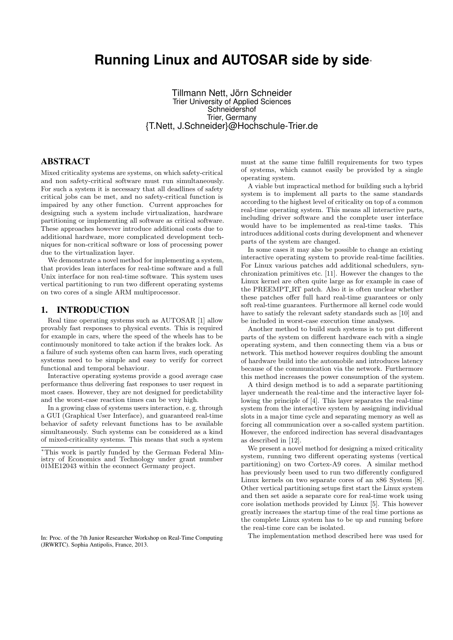# **Running Linux and AUTOSAR side by side**<sup>∗</sup>

Tillmann Nett, Jörn Schneider Trier University of Applied Sciences **Schneidershof** Trier, Germany {T.Nett, J.Schneider}@Hochschule-Trier.de

## ABSTRACT

Mixed criticality systems are systems, on which safety-critical and non safety-critical software must run simultaneously. For such a system it is necessary that all deadlines of safety critical jobs can be met, and no safety-critical function is impaired by any other function. Current approaches for designing such a system include virtualization, hardware partitioning or implementing all software as critical software. These approaches however introduce additional costs due to additional hardware, more complicated development techniques for non-critical software or loss of processing power due to the virtualization layer.

We demonstrate a novel method for implementing a system, that provides lean interfaces for real-time software and a full Unix interface for non real-time software. This system uses vertical partitioning to run two different operating systems on two cores of a single ARM multiprocessor.

#### 1. INTRODUCTION

Real time operating systems such as AUTOSAR [1] allow provably fast responses to physical events. This is required for example in cars, where the speed of the wheels has to be continuously monitored to take action if the brakes lock. As a failure of such systems often can harm lives, such operating systems need to be simple and easy to verify for correct functional and temporal behaviour.

Interactive operating systems provide a good average case performance thus delivering fast responses to user request in most cases. However, they are not designed for predictability and the worst-case reaction times can be very high.

In a growing class of systems users interaction, e. g. through a GUI (Graphical User Interface), and guaranteed real-time behavior of safety relevant functions has to be available simultaneously. Such systems can be considered as a kind of mixed-criticality systems. This means that such a system

<sup>∗</sup>This work is partly funded by the German Federal Ministry of Economics and Technology under grant number 01ME12043 within the econnect Germany project.

In: Proc. of the 7th Junior Researcher Workshop on Real-Time Computing (JRWRTC). Sophia Antipolis, France, 2013.

must at the same time fulfill requirements for two types of systems, which cannot easily be provided by a single operating system.

A viable but impractical method for building such a hybrid system is to implement all parts to the same standards according to the highest level of criticality on top of a common real-time operating system. This means all interactive parts, including driver software and the complete user interface would have to be implemented as real-time tasks. This introduces additional costs during development and whenever parts of the system are changed.

In some cases it may also be possible to change an existing interactive operating system to provide real-time facilities. For Linux various patches add additional schedulers, synchronization primitives etc. [11]. However the changes to the Linux kernel are often quite large as for example in case of the PREEMPT\_RT patch. Also it is often unclear whether these patches offer full hard real-time guarantees or only soft real-time guarantees. Furthermore all kernel code would have to satisfy the relevant safety standards such as [10] and be included in worst-case execution time analyses.

Another method to build such systems is to put different parts of the system on different hardware each with a single operating system, and then connecting them via a bus or network. This method however requires doubling the amount of hardware build into the automobile and introduces latency because of the communication via the network. Furthermore this method increases the power consumption of the system.

A third design method is to add a separate partitioning layer underneath the real-time and the interactive layer following the principle of [4]. This layer separates the real-time system from the interactive system by assigning individual slots in a major time cycle and separating memory as well as forcing all communication over a so-called system partition. However, the enforced indirection has several disadvantages as described in [12].

We present a novel method for designing a mixed criticality system, running two different operating systems (vertical partitioning) on two Cortex-A9 cores. A similar method has previously been used to run two differently configured Linux kernels on two separate cores of an x86 System [8]. Other vertical partitioning setups first start the Linux system and then set aside a separate core for real-time work using core isolation methods provided by Linux [5]. This however greatly increases the startup time of the real time portions as the complete Linux system has to be up and running before the real-time core can be isolated.

The implementation method described here was used for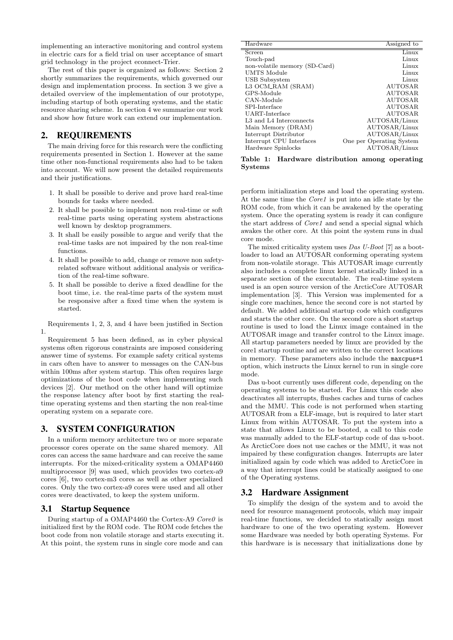implementing an interactive monitoring and control system in electric cars for a field trial on user acceptance of smart grid technology in the project econnect-Trier.

The rest of this paper is organized as follows: Section 2 shortly summarizes the requirements, which governed our design and implementation process. In section 3 we give a detailed overview of the implementation of our prototype, including startup of both operating systems, and the static resource sharing scheme. In section 4 we summarize our work and show how future work can extend our implementation.

## 2. REQUIREMENTS

The main driving force for this research were the conflicting requirements presented in Section 1. However at the same time other non-functional requirements also had to be taken into account. We will now present the detailed requirements and their justifications.

- 1. It shall be possible to derive and prove hard real-time bounds for tasks where needed.
- 2. It shall be possible to implement non real-time or soft real-time parts using operating system abstractions well known by desktop programmers.
- 3. It shall be easily possible to argue and verify that the real-time tasks are not impaired by the non real-time functions.
- 4. It shall be possible to add, change or remove non safetyrelated software without additional analysis or verification of the real-time software.
- 5. It shall be possible to derive a fixed deadline for the boot time, i.e. the real-time parts of the system must be responsive after a fixed time when the system is started.

Requirements 1, 2, 3, and 4 have been justified in Section 1.

Requirement 5 has been defined, as in cyber physical systems often rigorous constraints are imposed considering answer time of systems. For example safety critical systems in cars often have to answer to messages on the CAN-bus within 100ms after system startup. This often requires large optimizations of the boot code when implementing such devices [2]. Our method on the other hand will optimize the response latency after boot by first starting the realtime operating systems and then starting the non real-time operating system on a separate core.

## 3. SYSTEM CONFIGURATION

In a uniform memory architecture two or more separate processor cores operate on the same shared memory. All cores can access the same hardware and can receive the same interrupts. For the mixed-criticality system a OMAP4460 multiprocessor [9] was used, which provides two cortex-a9 cores [6], two cortex-m3 cores as well as other specialized cores. Only the two cortex-a9 cores were used and all other cores were deactivated, to keep the system uniform.

#### 3.1 Startup Sequence

During startup of a OMAP4460 the Cortex-A9 Core0 is initialized first by the ROM code. The ROM code fetches the boot code from non volatile storage and starts executing it. At this point, the system runs in single core mode and can

| Hardware                      | Assigned to              |
|-------------------------------|--------------------------|
| Screen                        | Linux                    |
| Touch-pad                     | Linux                    |
| non-volatile memory (SD-Card) | Linux                    |
| UMTS Module                   | Linux                    |
| USB Subsystem                 | Linux                    |
| L3 OCM_RAM (SRAM)             | AUTOSAR                  |
| GPS-Module                    | <b>AUTOSAR</b>           |
| CAN-Module                    | <b>AUTOSAR</b>           |
| SPI-Interface                 | <b>AUTOSAR</b>           |
| UART-Interface                | AUTOSAR                  |
| L3 and L4 Interconnects       | AUTOSAR/Linux            |
| Main Memory (DRAM)            | AUTOSAR/Linux            |
| Interrupt Distributor         | AUTOSAR/Linux            |
| Interrupt CPU Interfaces      | One per Operating System |
| Hardware Spinlocks            | AUTOSAR/Linux            |
|                               |                          |

Table 1: Hardware distribution among operating Systems

perform initialization steps and load the operating system. At the same time the *Core1* is put into an idle state by the ROM code, from which it can be awakened by the operating system. Once the operating system is ready it can configure the start address of Core1 and send a special signal which awakes the other core. At this point the system runs in dual core mode.

The mixed criticality system uses Das U-Boot [7] as a bootloader to load an AUTOSAR conforming operating system from non-volatile storage. This AUTOSAR image currently also includes a complete linux kernel statically linked in a separate section of the executable. The real-time system used is an open source version of the ArcticCore AUTOSAR implementation [3]. This Version was implemented for a single core machines, hence the second core is not started by default. We added additional startup code which configures and starts the other core. On the second core a short startup routine is used to load the Linux image contained in the AUTOSAR image and transfer control to the Linux image. All startup parameters needed by linux are provided by the core1 startup routine and are written to the correct locations in memory. These parameters also include the maxcpus=1 option, which instructs the Linux kernel to run in single core mode.

Das u-boot currently uses different code, depending on the operating systems to be started. For Linux this code also deactivates all interrupts, flushes caches and turns of caches and the MMU. This code is not performed when starting AUTOSAR from a ELF-image, but is required to later start Linux from within AUTOSAR. To put the system into a state that allows Linux to be booted, a call to this code was manually added to the ELF-startup code of das u-boot. As ArcticCore does not use caches or the MMU, it was not impaired by these configuration changes. Interrupts are later initialized again by code which was added to ArcticCore in a way that interrupt lines could be statically assigned to one of the Operating systems.

## 3.2 Hardware Assignment

To simplify the design of the system and to avoid the need for resource management protocols, which may impair real-time functions, we decided to statically assign most hardware to one of the two operating system. However some Hardware was needed by both operating Systems. For this hardware is is necessary that initializations done by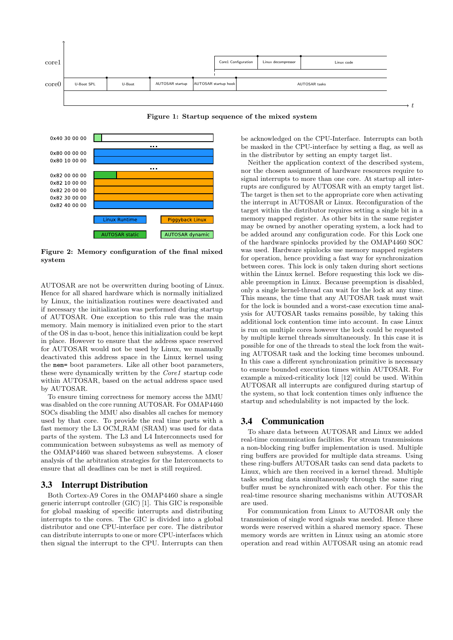



Figure 2: Memory configuration of the final mixed system

AUTOSAR are not be overwritten during booting of Linux. Hence for all shared hardware which is normally initialized by Linux, the initialization routines were deactivated and if necessary the initialization was performed during startup of AUTOSAR. One exception to this rule was the main memory. Main memory is initialized even prior to the start of the OS in das u-boot, hence this initialization could be kept in place. However to ensure that the address space reserved for AUTOSAR would not be used by Linux, we manually deactivated this address space in the Linux kernel using the mem= boot parameters. Like all other boot parameters, these were dynamically written by the Core1 startup code within AUTOSAR, based on the actual address space used by AUTOSAR.

To ensure timing correctness for memory access the MMU was disabled on the core running AUTOSAR. For OMAP4460 SOCs disabling the MMU also disables all caches for memory used by that core. To provide the real time parts with a fast memory the L3 OCM RAM (SRAM) was used for data parts of the system. The L3 and L4 Interconnects used for communication between subsystems as well as memory of the OMAP4460 was shared between subsystems. A closer analysis of the arbitration strategies for the Interconnects to ensure that all deadlines can be met is still required.

## 3.3 Interrupt Distribution

Both Cortex-A9 Cores in the OMAP4460 share a single generic interrupt controller (GIC) [1]. This GIC is responsible for global masking of specific interrupts and distributing interrupts to the cores. The GIC is divided into a global distributor and one CPU-interface per core. The distributor can distribute interrupts to one or more CPU-interfaces which then signal the interrupt to the CPU. Interrupts can then

be masked in the CPU-interface by setting a flag, as well as in the distributor by setting an empty target list.

Neither the application context of the described system, nor the chosen assignment of hardware resources require to signal interrupts to more than one core. At startup all interrupts are configured by AUTOSAR with an empty target list. The target is then set to the appropriate core when activating the interrupt in AUTOSAR or Linux. Reconfiguration of the target within the distributor requires setting a single bit in a memory mapped register. As other bits in the same register may be owned by another operating system, a lock had to be added around any configuration code. For this Lock one of the hardware spinlocks provided by the OMAP4460 SOC was used. Hardware spinlocks use memory mapped registers for operation, hence providing a fast way for synchronization between cores. This lock is only taken during short sections within the Linux kernel. Before requesting this lock we disable preemption in Linux. Because preemption is disabled, only a single kernel-thread can wait for the lock at any time. This means, the time that any AUTOSAR task must wait for the lock is bounded and a worst-case execution time analysis for AUTOSAR tasks remains possible, by taking this additional lock contention time into account. In case Linux is run on multiple cores however the lock could be requested by multiple kernel threads simultaneously. In this case it is possible for one of the threads to steal the lock from the waiting AUTOSAR task and the locking time becomes unbound. In this case a different synchronization primitive is necessary to ensure bounded execution times within AUTOSAR. For example a mixed-criticality lock [12] could be used. Within AUTOSAR all interrupts are configured during startup of the system, so that lock contention times only influence the startup and schedulability is not impacted by the lock.

## 3.4 Communication

To share data between AUTOSAR and Linux we added real-time communication facilities. For stream transmissions a non-blocking ring buffer implementation is used. Multiple ring buffers are provided for multiple data streams. Using these ring-buffers AUTOSAR tasks can send data packets to Linux, which are then received in a kernel thread. Multiple tasks sending data simultaneously through the same ring buffer must be synchronized with each other. For this the real-time resource sharing mechanisms within AUTOSAR are used.

For communication from Linux to AUTOSAR only the transmission of single word signals was needed. Hence these words were reserved within a shared memory space. These memory words are written in Linux using an atomic store operation and read within AUTOSAR using an atomic read